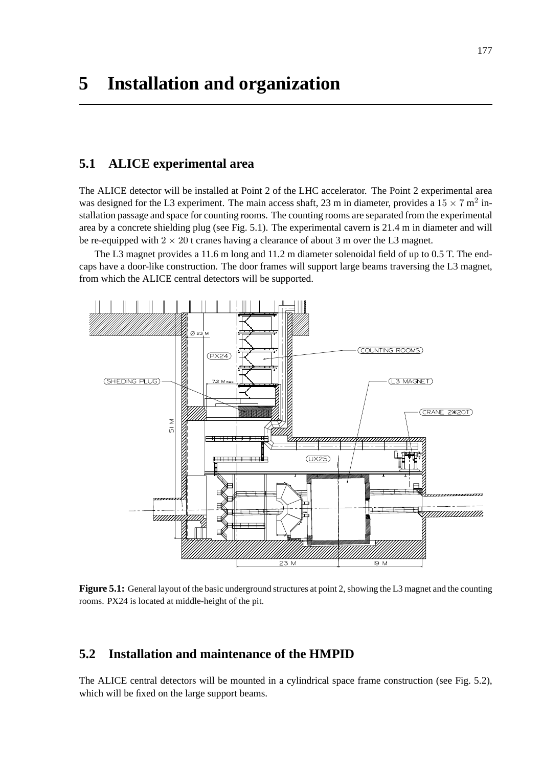# **5.1 ALICE experimental area**

The ALICE detector will be installed at Point 2 of the LHC accelerator. The Point 2 experimental area was designed for the L3 experiment. The main access shaft, 23 m in diameter, provides a  $15 \times 7$  m<sup>2</sup> installation passage and space for counting rooms. The counting rooms are separated from the experimental area by a concrete shielding plug (see Fig. 5.1). The experimental cavern is 21.4 m in diameter and will be re-equipped with  $2 \times 20$  t cranes having a clearance of about 3 m over the L3 magnet.

The L3 magnet provides a 11.6 m long and 11.2 m diameter solenoidal field of up to 0.5 T. The endcaps have a door-like construction. The door frames will support large beams traversing the L3 magnet, from which the ALICE central detectors will be supported.



**Figure 5.1:** General layout of the basic underground structures at point 2, showing the L3 magnet and the counting rooms. PX24 is located at middle-height of the pit.

# **5.2 Installation and maintenance of the HMPID**

The ALICE central detectors will be mounted in a cylindrical space frame construction (see Fig. 5.2), which will be fixed on the large support beams.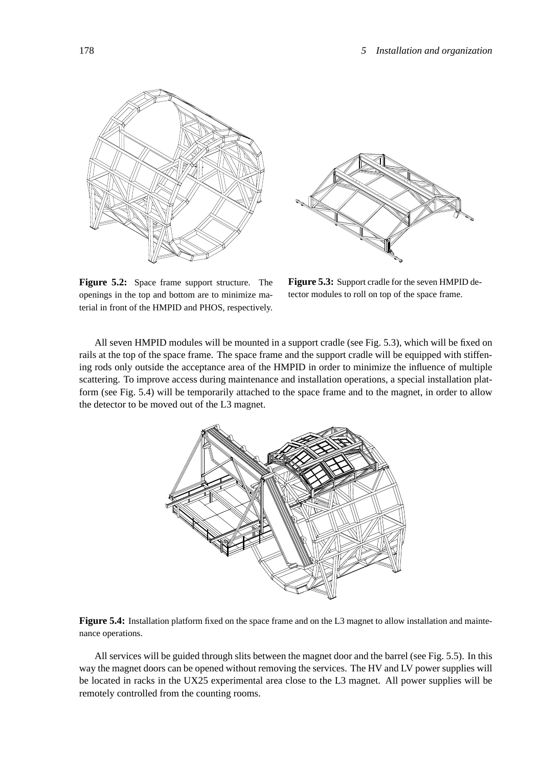



**Figure 5.2:** Space frame support structure. The openings in the top and bottom are to minimize material in front of the HMPID and PHOS, respectively.

**Figure 5.3:** Support cradle for the seven HMPID detector modules to roll on top of the space frame.

All seven HMPID modules will be mounted in a support cradle (see Fig. 5.3), which will be fixed on rails at the top of the space frame. The space frame and the support cradle will be equipped with stiffening rods only outside the acceptance area of the HMPID in order to minimize the influence of multiple scattering. To improve access during maintenance and installation operations, a special installation platform (see Fig. 5.4) will be temporarily attached to the space frame and to the magnet, in order to allow the detector to be moved out of the L3 magnet.



**Figure 5.4:** Installation platform fixed on the space frame and on the L3 magnet to allow installation and maintenance operations.

All services will be guided through slits between the magnet door and the barrel (see Fig. 5.5). In this way the magnet doors can be opened without removing the services. The HV and LV power supplies will be located in racks in the UX25 experimental area close to the L3 magnet. All power supplies will be remotely controlled from the counting rooms.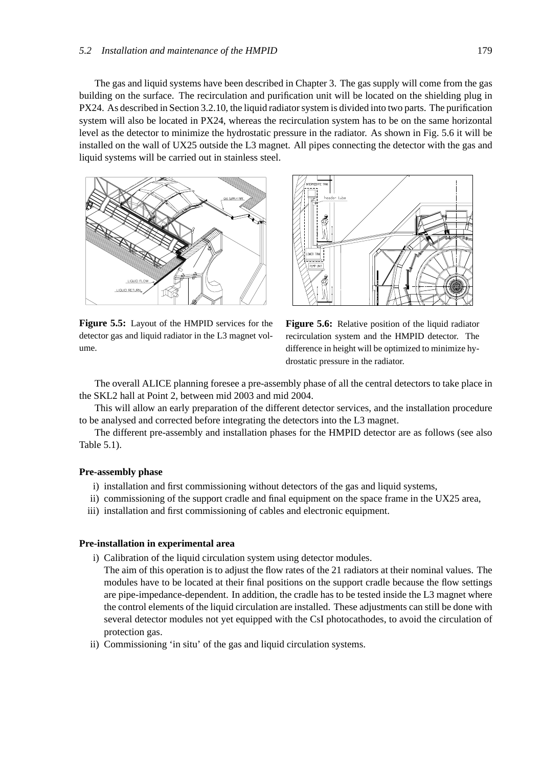The gas and liquid systems have been described in Chapter 3. The gas supply will come from the gas building on the surface. The recirculation and purification unit will be located on the shielding plug in PX24. As described in Section 3.2.10, the liquid radiator system is divided into two parts. The purification system will also be located in PX24, whereas the recirculation system has to be on the same horizontal level as the detector to minimize the hydrostatic pressure in the radiator. As shown in Fig. 5.6 it will be installed on the wall of UX25 outside the L3 magnet. All pipes connecting the detector with the gas and liquid systems will be carried out in stainless steel.



**Figure 5.5:** Layout of the HMPID services for the detector gas and liquid radiator in the L3 magnet volume.



**Figure 5.6:** Relative position of the liquid radiator recirculation system and the HMPID detector. The difference in height will be optimized to minimize hydrostatic pressure in the radiator.

The overall ALICE planning foresee a pre-assembly phase of all the central detectors to take place in the SKL2 hall at Point 2, between mid 2003 and mid 2004.

This will allow an early preparation of the different detector services, and the installation procedure to be analysed and corrected before integrating the detectors into the L3 magnet.

The different pre-assembly and installation phases for the HMPID detector are as follows (see also Table 5.1).

### **Pre-assembly phase**

- i) installation and first commissioning without detectors of the gas and liquid systems,
- ii) commissioning of the support cradle and final equipment on the space frame in the UX25 area,
- iii) installation and first commissioning of cables and electronic equipment.

### **Pre-installation in experimental area**

- i) Calibration of the liquid circulation system using detector modules.
	- The aim of this operation is to adjust the flow rates of the 21 radiators at their nominal values. The modules have to be located at their final positions on the support cradle because the flow settings are pipe-impedance-dependent. In addition, the cradle has to be tested inside the L3 magnet where the control elements of the liquid circulation are installed. These adjustments can still be done with several detector modules not yet equipped with the CsI photocathodes, to avoid the circulation of protection gas.
- ii) Commissioning 'in situ' of the gas and liquid circulation systems.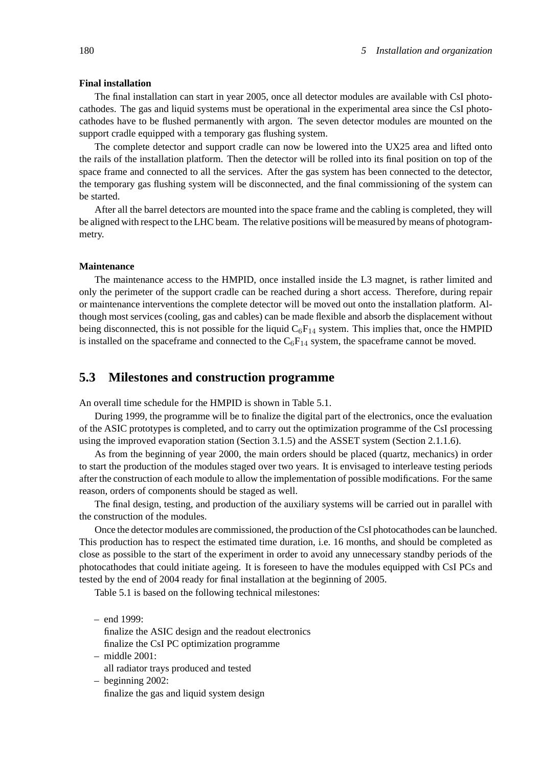### **Final installation**

The final installation can start in year 2005, once all detector modules are available with CsI photocathodes. The gas and liquid systems must be operational in the experimental area since the CsI photocathodes have to be flushed permanently with argon. The seven detector modules are mounted on the support cradle equipped with a temporary gas flushing system.

The complete detector and support cradle can now be lowered into the UX25 area and lifted onto the rails of the installation platform. Then the detector will be rolled into its final position on top of the space frame and connected to all the services. After the gas system has been connected to the detector, the temporary gas flushing system will be disconnected, and the final commissioning of the system can be started.

After all the barrel detectors are mounted into the space frame and the cabling is completed, they will be aligned with respect to the LHC beam. The relative positions will be measured by means of photogrammetry.

#### **Maintenance**

The maintenance access to the HMPID, once installed inside the L3 magnet, is rather limited and only the perimeter of the support cradle can be reached during a short access. Therefore, during repair or maintenance interventions the complete detector will be moved out onto the installation platform. Although most services (cooling, gas and cables) can be made flexible and absorb the displacement without being disconnected, this is not possible for the liquid  $C_6F_{14}$  system. This implies that, once the HMPID is installed on the spaceframe and connected to the  $C_6F_{14}$  system, the spaceframe cannot be moved.

## **5.3 Milestones and construction programme**

An overall time schedule for the HMPID is shown in Table 5.1.

During 1999, the programme will be to finalize the digital part of the electronics, once the evaluation of the ASIC prototypes is completed, and to carry out the optimization programme of the CsI processing using the improved evaporation station (Section 3.1.5) and the ASSET system (Section 2.1.1.6).

As from the beginning of year 2000, the main orders should be placed (quartz, mechanics) in order to start the production of the modules staged over two years. It is envisaged to interleave testing periods after the construction of each module to allow the implementation of possible modifications. For the same reason, orders of components should be staged as well.

The final design, testing, and production of the auxiliary systems will be carried out in parallel with the construction of the modules.

Once the detector modules are commissioned, the production of the CsI photocathodes can be launched. This production has to respect the estimated time duration, i.e. 16 months, and should be completed as close as possible to the start of the experiment in order to avoid any unnecessary standby periods of the photocathodes that could initiate ageing. It is foreseen to have the modules equipped with CsI PCs and tested by the end of 2004 ready for final installation at the beginning of 2005.

Table 5.1 is based on the following technical milestones:

– end 1999:

- finalize the ASIC design and the readout electronics finalize the CsI PC optimization programme
- middle 2001: all radiator trays produced and tested
- beginning 2002: finalize the gas and liquid system design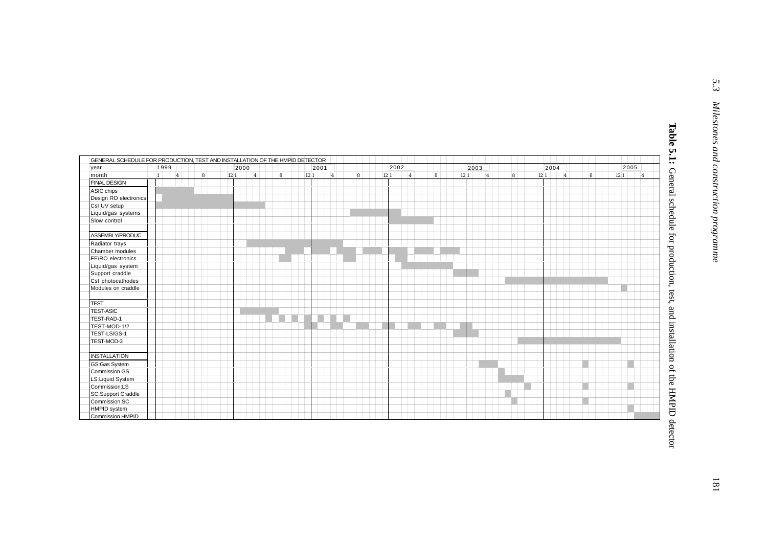| GENERAL SCHEDULE FOR PRODUCTION, TEST AND INSTALLATION OF THE HIMPID DETECTOR |      |      |   |  |      |      |   |  |     |  |     |      |             |  |   |  |      |      |   |  |  |      |      |           |    |  |      |     |  |   |  |      |      |                |                 |
|-------------------------------------------------------------------------------|------|------|---|--|------|------|---|--|-----|--|-----|------|-------------|--|---|--|------|------|---|--|--|------|------|-----------|----|--|------|-----|--|---|--|------|------|----------------|-----------------|
| vear                                                                          | 1999 |      |   |  |      | 2000 |   |  |     |  |     | 2001 |             |  |   |  |      | 2002 |   |  |  |      | 2003 |           |    |  | 2004 |     |  |   |  |      | 2005 |                |                 |
| month                                                                         |      | 14 I | 8 |  | 12 1 |      | 4 |  | ls. |  | 121 |      | $ 4\rangle$ |  | 8 |  | 12 1 |      | 4 |  |  | 12 1 |      | $\vert_4$ | Ι۵ |  | 12 1 | l4. |  | 8 |  | 12 1 |      | $\overline{a}$ |                 |
| <b>FINAL DESIGN</b>                                                           |      |      |   |  |      |      |   |  |     |  |     |      |             |  |   |  |      |      |   |  |  |      |      |           |    |  |      |     |  |   |  |      |      |                |                 |
| ASIC chips                                                                    |      |      |   |  |      |      |   |  |     |  |     |      |             |  |   |  |      |      |   |  |  |      |      |           |    |  |      |     |  |   |  |      |      |                |                 |
| Design RO electronics                                                         |      |      |   |  |      |      |   |  |     |  |     |      |             |  |   |  |      |      |   |  |  |      |      |           |    |  |      |     |  |   |  |      |      |                |                 |
| CsI UV setup                                                                  |      |      |   |  |      |      |   |  |     |  |     |      |             |  |   |  |      |      |   |  |  |      |      |           |    |  |      |     |  |   |  |      |      |                |                 |
| Liquid/gas systems                                                            |      |      |   |  |      |      |   |  |     |  |     |      |             |  |   |  |      |      |   |  |  |      |      |           |    |  |      |     |  |   |  |      |      |                |                 |
| Slow control                                                                  |      |      |   |  |      |      |   |  |     |  |     |      |             |  |   |  |      |      |   |  |  |      |      |           |    |  |      |     |  |   |  |      |      |                |                 |
|                                                                               |      |      |   |  |      |      |   |  |     |  |     |      |             |  |   |  |      |      |   |  |  |      |      |           |    |  |      |     |  |   |  |      |      |                |                 |
| ASSEMBLY/PRODUC                                                               |      |      |   |  |      |      |   |  |     |  |     |      |             |  |   |  |      |      |   |  |  |      |      |           |    |  |      |     |  |   |  |      |      |                |                 |
| Radiator trays                                                                |      |      |   |  |      |      |   |  |     |  |     |      |             |  |   |  |      |      |   |  |  |      |      |           |    |  |      |     |  |   |  |      |      |                |                 |
| Chamber modules                                                               |      |      |   |  |      |      |   |  |     |  |     |      |             |  |   |  |      |      |   |  |  |      |      |           |    |  |      |     |  |   |  |      |      |                |                 |
| FE/RO electronics                                                             |      |      |   |  |      |      |   |  |     |  |     |      |             |  |   |  |      |      |   |  |  |      |      |           |    |  |      |     |  |   |  |      |      |                |                 |
| Liquid/gas system                                                             |      |      |   |  |      |      |   |  |     |  |     |      |             |  |   |  |      |      |   |  |  |      |      |           |    |  |      |     |  |   |  |      |      |                | for production, |
| Support craddle                                                               |      |      |   |  |      |      |   |  |     |  |     |      |             |  |   |  |      |      |   |  |  |      |      |           |    |  |      |     |  |   |  |      |      |                |                 |
| CsI photocathodes                                                             |      |      |   |  |      |      |   |  |     |  |     |      |             |  |   |  |      |      |   |  |  |      |      |           |    |  |      |     |  |   |  |      |      |                |                 |
| Modules on craddle                                                            |      |      |   |  |      |      |   |  |     |  |     |      |             |  |   |  |      |      |   |  |  |      |      |           |    |  |      |     |  |   |  |      |      |                |                 |
|                                                                               |      |      |   |  |      |      |   |  |     |  |     |      |             |  |   |  |      |      |   |  |  |      |      |           |    |  |      |     |  |   |  |      |      |                |                 |
| <b>TEST</b>                                                                   |      |      |   |  |      |      |   |  |     |  |     |      |             |  |   |  |      |      |   |  |  |      |      |           |    |  |      |     |  |   |  |      |      |                |                 |
| <b>TEST-ASIC</b>                                                              |      |      |   |  |      |      |   |  |     |  |     |      |             |  |   |  |      |      |   |  |  |      |      |           |    |  |      |     |  |   |  |      |      |                |                 |
| TEST-RAD-1                                                                    |      |      |   |  |      |      |   |  |     |  |     |      |             |  |   |  |      |      |   |  |  |      |      |           |    |  |      |     |  |   |  |      |      |                |                 |
| TEST-MOD-1/2                                                                  |      |      |   |  |      |      |   |  |     |  |     |      |             |  |   |  |      |      |   |  |  |      |      |           |    |  |      |     |  |   |  |      |      |                |                 |
| TEST-LS/GS-1                                                                  |      |      |   |  |      |      |   |  |     |  |     |      |             |  |   |  |      |      |   |  |  |      |      |           |    |  |      |     |  |   |  |      |      |                |                 |
| TEST-MOD-3                                                                    |      |      |   |  |      |      |   |  |     |  |     |      |             |  |   |  |      |      |   |  |  |      |      |           |    |  |      |     |  |   |  |      |      |                |                 |
|                                                                               |      |      |   |  |      |      |   |  |     |  |     |      |             |  |   |  |      |      |   |  |  |      |      |           |    |  |      |     |  |   |  |      |      |                |                 |
| <b>INSTALLATION</b>                                                           |      |      |   |  |      |      |   |  |     |  |     |      |             |  |   |  |      |      |   |  |  |      |      |           |    |  |      |     |  |   |  |      |      |                |                 |
| <b>GS:Gas System</b>                                                          |      |      |   |  |      |      |   |  |     |  |     |      |             |  |   |  |      |      |   |  |  |      |      |           |    |  |      |     |  |   |  |      |      |                |                 |
| Commission GS                                                                 |      |      |   |  |      |      |   |  |     |  |     |      |             |  |   |  |      |      |   |  |  |      |      |           |    |  |      |     |  |   |  |      |      |                |                 |
| LS:Liquid System                                                              |      |      |   |  |      |      |   |  |     |  |     |      |             |  |   |  |      |      |   |  |  |      |      |           |    |  |      |     |  |   |  |      |      |                |                 |
| Commission:LS                                                                 |      |      |   |  |      |      |   |  |     |  |     |      |             |  |   |  |      |      |   |  |  |      |      |           |    |  |      |     |  |   |  |      |      |                |                 |
| <b>SC:Support Craddle</b>                                                     |      |      |   |  |      |      |   |  |     |  |     |      |             |  |   |  |      |      |   |  |  |      |      |           |    |  |      |     |  |   |  |      |      |                |                 |
| <b>Commission SC</b>                                                          |      |      |   |  |      |      |   |  |     |  |     |      |             |  |   |  |      |      |   |  |  |      |      |           |    |  |      |     |  |   |  |      |      |                |                 |
| HMPID system                                                                  |      |      |   |  |      |      |   |  |     |  |     |      |             |  |   |  |      |      |   |  |  |      |      |           |    |  |      |     |  |   |  |      |      |                |                 |
| <b>Commission HMPID</b>                                                       |      |      |   |  |      |      |   |  |     |  |     |      |             |  |   |  |      |      |   |  |  |      |      |           |    |  |      |     |  |   |  |      |      |                |                 |
|                                                                               |      |      |   |  |      |      |   |  |     |  |     |      |             |  |   |  |      |      |   |  |  |      |      |           |    |  |      |     |  |   |  |      |      |                |                 |
|                                                                               |      |      |   |  |      |      |   |  |     |  |     |      |             |  |   |  |      |      |   |  |  |      |      |           |    |  |      |     |  |   |  |      |      |                |                 |
|                                                                               |      |      |   |  |      |      |   |  |     |  |     |      |             |  |   |  |      |      |   |  |  |      |      |           |    |  |      |     |  |   |  |      |      |                |                 |
|                                                                               |      |      |   |  |      |      |   |  |     |  |     |      |             |  |   |  |      |      |   |  |  |      |      |           |    |  |      |     |  |   |  |      |      |                |                 |

Table 5.1: General schedule for production, test, and installation of the HMPID detector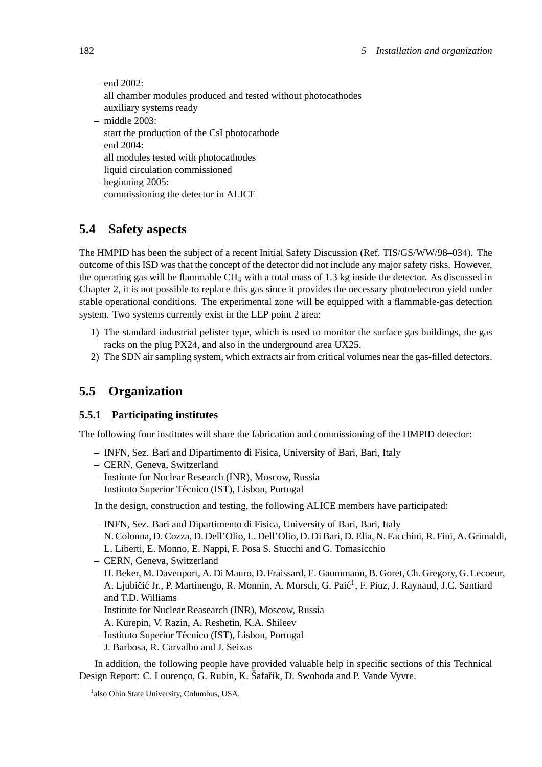- $-$  end 2002: all chamber modules produced and tested without photocathodes auxiliary systems ready – middle 2003:
	- start the production of the CsI photocathode
- end 2004: all modules tested with photocathodes liquid circulation commissioned
- beginning 2005: commissioning the detector in ALICE

# **5.4 Safety aspects**

The HMPID has been the subject of a recent Initial Safety Discussion (Ref. TIS/GS/WW/98–034). The outcome of this ISD was that the concept of the detector did not include any major safety risks. However, the operating gas will be flammable  $CH_4$  with a total mass of 1.3 kg inside the detector. As discussed in Chapter 2, it is not possible to replace this gas since it provides the necessary photoelectron yield under stable operational conditions. The experimental zone will be equipped with a flammable-gas detection system. Two systems currently exist in the LEP point 2 area:

- 1) The standard industrial pelister type, which is used to monitor the surface gas buildings, the gas racks on the plug PX24, and also in the underground area UX25.
- 2) The SDN air sampling system, which extracts air from critical volumes near the gas-filled detectors.

# **5.5 Organization**

## **5.5.1 Participating institutes**

The following four institutes will share the fabrication and commissioning of the HMPID detector:

- INFN, Sez. Bari and Dipartimento di Fisica, University of Bari, Bari, Italy
- CERN, Geneva, Switzerland
- Institute for Nuclear Research (INR), Moscow, Russia
- Instituto Superior Tecnico (IST), Lisbon, Portugal ´

In the design, construction and testing, the following ALICE members have participated:

- INFN, Sez. Bari and Dipartimento di Fisica, University of Bari, Bari, Italy N. Colonna, D. Cozza, D. Dell'Olio, L. Dell'Olio, D. Di Bari, D. Elia, N. Facchini, R. Fini, A. Grimaldi, L. Liberti, E. Monno, E. Nappi, F. Posa S. Stucchi and G. Tomasicchio
- CERN, Geneva, Switzerland H. Beker, M. Davenport, A. Di Mauro, D. Fraissard, E. Gaummann, B. Goret, Ch. Gregory, G. Lecoeur, A. Ljubičić Jr., P. Martinengo, R. Monnin, A. Morsch, G. Paić<sup>1</sup>, F. Piuz, J. Raynaud, J.C. Santiard and T.D. Williams
- Institute for Nuclear Reasearch (INR), Moscow, Russia A. Kurepin, V. Razin, A. Reshetin, K.A. Shileev
- 
- Instituto Superior Tecnico (IST), Lisbon, Portugal ´
	- J. Barbosa, R. Carvalho and J. Seixas

In addition, the following people have provided valuable help in specific sections of this Technical Design Report: C. Lourenço, G. Rubin, K. Šafařík, D. Swoboda and P. Vande Vyvre.

<sup>&</sup>lt;sup>1</sup>also Ohio State University, Columbus, USA.